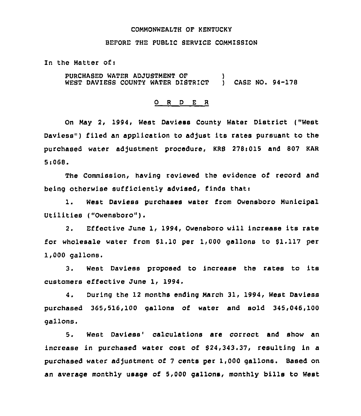#### COMMONWEALTH OF KENTUCKY

#### BEFORE THE PUBLIC SERVICE COMMISSION

In the Matter of:

PURCHASED WATER ADJUSTMENT OF **)**<br>WEST DAVIESS COUNTY WATER DISTRICT ) CASE NO. 94-178 WEST DAVIESS COUNTY WATER DISTRICT

### 0 <sup>R</sup> <sup>D</sup> <sup>E</sup> <sup>R</sup>

On May 2, 1994, West Daviess County Water District ("West Daviess") filed an application to adjust its rates pursuant to the purchased water adjustment procedure, KRS 278:015 and 807 KAR 5<068.

The Commission, having reviewed the evidence of record and being otherwise sufficiently advised, finds thati

1. West Daviess purchases water from Owensboro Municipal Utilities ("Owensboro").

2. Effective June 1, 1994, Owensboro will increase its rate for wholesale water from 61.10 per 1,000 gallons to 61.117 per 1,000 gallons.

3. West Daviess proposed to increase the rates to its customers effective June 1, 1994.

4. During the 12 months ending March 31, 1994, West Daviess purchased 365,516,100 gallons of water and sold 345,046,100 gallons.

5. West Daviess' calculations are correct and show an increase in purchased water cost of 624,343.37, resulting in a purchased water adjustment of 7 cents per 1,000 gallons. Based on an average monthly usage of 5,000 gallons, monthly bills to West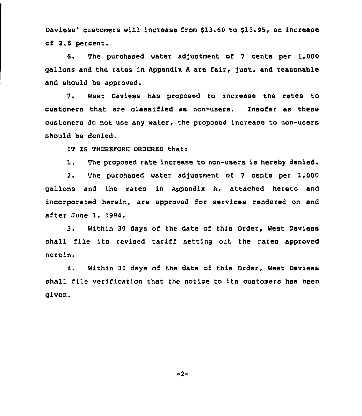Daviess' customers will increase from \$13.60 to \$13.95, an increase of 2.6 percent.

6. The purchased water ad)ustment of <sup>7</sup> cents per 1,000 gallons and the rates in Appendix <sup>A</sup> are fair, just, and reasonable and should be approved.

7. West Daviess has proposed to increase the rates to customers that are classified as non-users. Insofar as these customers do not use any water, the proposed increase to non-users should be denied.

IT IS THEREFORE ORDERED thati

1. The proposed rate increase to non-users is hereby denied.

2. The purchased water adjustment of <sup>7</sup> cents per 1,000 gallons and the rates in Appendix A, attached hereto and incorporated herein, are approved for services rendered on and after June 1, 1994.

3. Within <sup>30</sup> days of the date of this Order, West Daviess shall file its revised tariff setting out the rates approved herein.

4. Within 30 days of the date of this Order, West Daviess shall file verification that the notice to its customers has been given.

 $-2-$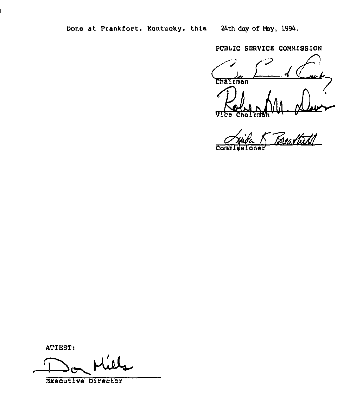PUBLIC SERVICE COMMISSION

Chairman **916** 

m. paul **Comm** 

ATTEST:

Executive Director